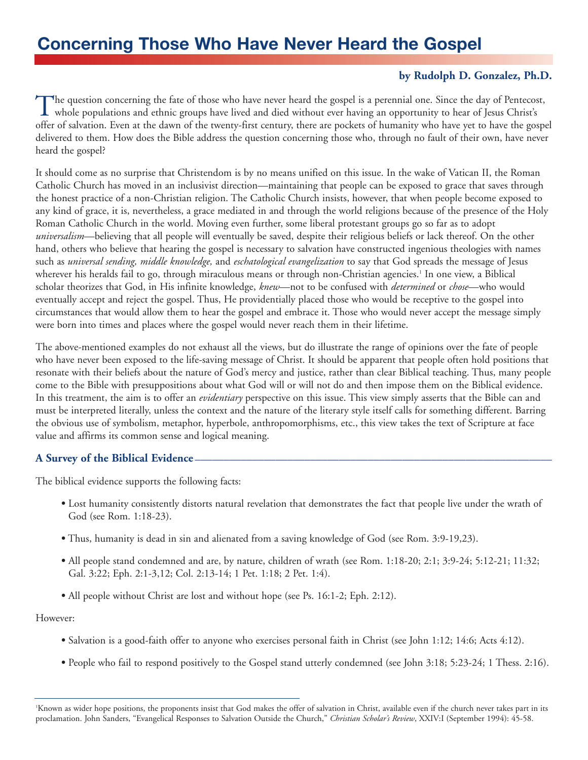# **Concerning Those Who Have Never Heard the Gospel**

## **by Rudolph D. Gonzalez, Ph.D.**

The question concerning the fate of those who have never heard the gospel is a perennial one. Since the day of Pentecost,  $\perp$  whole populations and ethnic groups have lived and died without ever having an opportunity to hear of Jesus Christ's offer of salvation. Even at the dawn of the twenty-first century, there are pockets of humanity who have yet to have the gospel delivered to them. How does the Bible address the question concerning those who, through no fault of their own, have never heard the gospel?

It should come as no surprise that Christendom is by no means unified on this issue. In the wake of Vatican II, the Roman Catholic Church has moved in an inclusivist direction—maintaining that people can be exposed to grace that saves through the honest practice of a non-Christian religion. The Catholic Church insists, however, that when people become exposed to any kind of grace, it is, nevertheless, a grace mediated in and through the world religions because of the presence of the Holy Roman Catholic Church in the world. Moving even further, some liberal protestant groups go so far as to adopt *universalism*—believing that all people will eventually be saved, despite their religious beliefs or lack thereof. On the other hand, others who believe that hearing the gospel is necessary to salvation have constructed ingenious theologies with names such as *universal sending, middle knowledge,* and *eschatological evangelization* to say that God spreads the message of Jesus wherever his heralds fail to go, through miraculous means or through non-Christian agencies.<sup>1</sup> In one view, a Biblical scholar theorizes that God, in His infinite knowledge, *knew*—not to be confused with *determined* or *chose*—who would eventually accept and reject the gospel. Thus, He providentially placed those who would be receptive to the gospel into circumstances that would allow them to hear the gospel and embrace it. Those who would never accept the message simply were born into times and places where the gospel would never reach them in their lifetime.

The above-mentioned examples do not exhaust all the views, but do illustrate the range of opinions over the fate of people who have never been exposed to the life-saving message of Christ. It should be apparent that people often hold positions that resonate with their beliefs about the nature of God's mercy and justice, rather than clear Biblical teaching. Thus, many people come to the Bible with presuppositions about what God will or will not do and then impose them on the Biblical evidence. In this treatment, the aim is to offer an *evidentiary* perspective on this issue. This view simply asserts that the Bible can and must be interpreted literally, unless the context and the nature of the literary style itself calls for something different. Barring the obvious use of symbolism, metaphor, hyperbole, anthropomorphisms, etc., this view takes the text of Scripture at face value and affirms its common sense and logical meaning.

### **A Survey of the Biblical Evidence -**

The biblical evidence supports the following facts:

- **•** Lost humanity consistently distorts natural revelation that demonstrates the fact that people live under the wrath of God (see Rom. 1:18-23).
- **•** Thus, humanity is dead in sin and alienated from a saving knowledge of God (see Rom. 3:9-19,23).
- **•** All people stand condemned and are, by nature, children of wrath (see Rom. 1:18-20; 2:1; 3:9-24; 5:12-21; 11:32; Gal. 3:22; Eph. 2:1-3,12; Col. 2:13-14; 1 Pet. 1:18; 2 Pet. 1:4).
- All people without Christ are lost and without hope (see Ps. 16:1-2; Eph. 2:12).

#### However:

- **•** Salvation is a good-faith offer to anyone who exercises personal faith in Christ (see John 1:12; 14:6; Acts 4:12).
- **•** People who fail to respond positively to the Gospel stand utterly condemned (see John 3:18; 5:23-24; 1 Thess. 2:16).

<sup>&#</sup>x27;Known as wider hope positions, the proponents insist that God makes the offer of salvation in Christ, available even if the church never takes part in its proclamation. John Sanders, "Evangelical Responses to Salvation Outside the Church," *Christian Scholar's Review*, XXIV:I (September 1994): 45-58.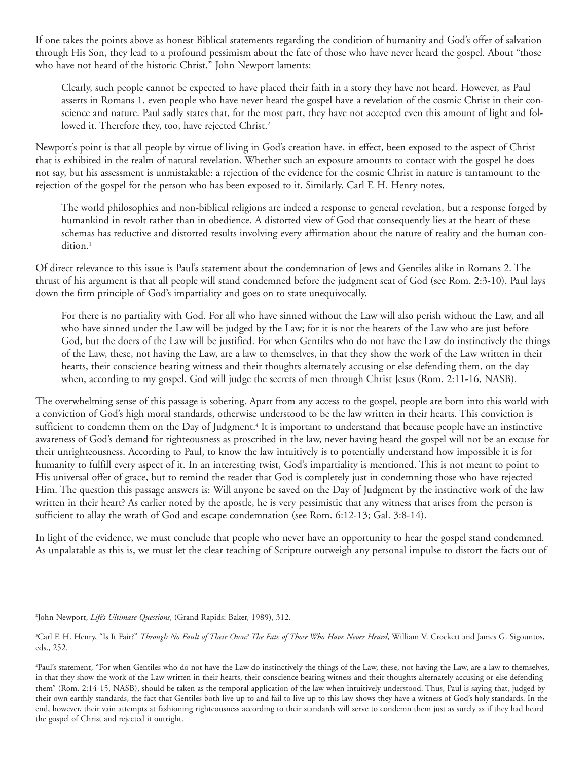If one takes the points above as honest Biblical statements regarding the condition of humanity and God's offer of salvation through His Son, they lead to a profound pessimism about the fate of those who have never heard the gospel. About "those who have not heard of the historic Christ," John Newport laments:

Clearly, such people cannot be expected to have placed their faith in a story they have not heard. However, as Paul asserts in Romans 1, even people who have never heard the gospel have a revelation of the cosmic Christ in their conscience and nature. Paul sadly states that, for the most part, they have not accepted even this amount of light and followed it. Therefore they, too, have rejected Christ.<sup>2</sup>

Newport's point is that all people by virtue of living in God's creation have, in effect, been exposed to the aspect of Christ that is exhibited in the realm of natural revelation. Whether such an exposure amounts to contact with the gospel he does not say, but his assessment is unmistakable: a rejection of the evidence for the cosmic Christ in nature is tantamount to the rejection of the gospel for the person who has been exposed to it. Similarly, Carl F. H. Henry notes,

The world philosophies and non-biblical religions are indeed a response to general revelation, but a response forged by humankind in revolt rather than in obedience. A distorted view of God that consequently lies at the heart of these schemas has reductive and distorted results involving every affirmation about the nature of reality and the human condition.3

Of direct relevance to this issue is Paul's statement about the condemnation of Jews and Gentiles alike in Romans 2. The thrust of his argument is that all people will stand condemned before the judgment seat of God (see Rom. 2:3-10). Paul lays down the firm principle of God's impartiality and goes on to state unequivocally,

For there is no partiality with God. For all who have sinned without the Law will also perish without the Law, and all who have sinned under the Law will be judged by the Law; for it is not the hearers of the Law who are just before God, but the doers of the Law will be justified. For when Gentiles who do not have the Law do instinctively the things of the Law, these, not having the Law, are a law to themselves, in that they show the work of the Law written in their hearts, their conscience bearing witness and their thoughts alternately accusing or else defending them, on the day when, according to my gospel, God will judge the secrets of men through Christ Jesus (Rom. 2:11-16, NASB).

The overwhelming sense of this passage is sobering. Apart from any access to the gospel, people are born into this world with a conviction of God's high moral standards, otherwise understood to be the law written in their hearts. This conviction is sufficient to condemn them on the Day of Judgment.<sup>4</sup> It is important to understand that because people have an instinctive awareness of God's demand for righteousness as proscribed in the law, never having heard the gospel will not be an excuse for their unrighteousness. According to Paul, to know the law intuitively is to potentially understand how impossible it is for humanity to fulfill every aspect of it. In an interesting twist, God's impartiality is mentioned. This is not meant to point to His universal offer of grace, but to remind the reader that God is completely just in condemning those who have rejected Him. The question this passage answers is: Will anyone be saved on the Day of Judgment by the instinctive work of the law written in their heart? As earlier noted by the apostle, he is very pessimistic that any witness that arises from the person is sufficient to allay the wrath of God and escape condemnation (see Rom. 6:12-13; Gal. 3:8-14).

In light of the evidence, we must conclude that people who never have an opportunity to hear the gospel stand condemned. As unpalatable as this is, we must let the clear teaching of Scripture outweigh any personal impulse to distort the facts out of

<sup>2</sup> John Newport, *Life's Ultimate Questions*, (Grand Rapids: Baker, 1989), 312.

<sup>&</sup>lt;sup>3</sup>Carl F. H. Henry, "Is It Fair?" *Through No Fault of Their Own? The Fate of Those Who Have Never Heard*, William V. Crockett and James G. Sigountos, eds., 252.

<sup>4</sup> Paul's statement, "For when Gentiles who do not have the Law do instinctively the things of the Law, these, not having the Law, are a law to themselves, in that they show the work of the Law written in their hearts, their conscience bearing witness and their thoughts alternately accusing or else defending them" (Rom. 2:14-15, NASB), should be taken as the temporal application of the law when intuitively understood. Thus, Paul is saying that, judged by their own earthly standards, the fact that Gentiles both live up to and fail to live up to this law shows they have a witness of God's holy standards. In the end, however, their vain attempts at fashioning righteousness according to their standards will serve to condemn them just as surely as if they had heard the gospel of Christ and rejected it outright.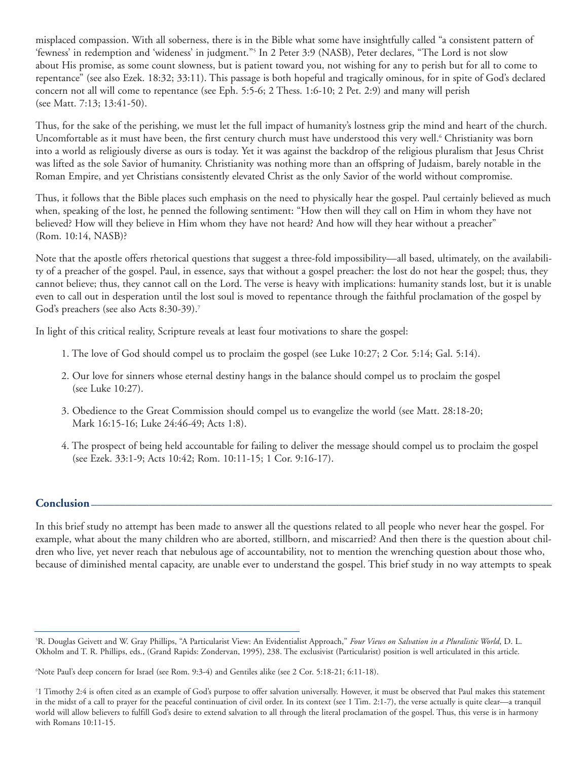misplaced compassion. With all soberness, there is in the Bible what some have insightfully called "a consistent pattern of 'fewness' in redemption and 'wideness' in judgment."5 In 2 Peter 3:9 (NASB), Peter declares, "The Lord is not slow about His promise, as some count slowness, but is patient toward you, not wishing for any to perish but for all to come to repentance" (see also Ezek. 18:32; 33:11). This passage is both hopeful and tragically ominous, for in spite of God's declared concern not all will come to repentance (see Eph. 5:5-6; 2 Thess. 1:6-10; 2 Pet. 2:9) and many will perish (see Matt. 7:13; 13:41-50).

Thus, for the sake of the perishing, we must let the full impact of humanity's lostness grip the mind and heart of the church. Uncomfortable as it must have been, the first century church must have understood this very well.6 Christianity was born into a world as religiously diverse as ours is today. Yet it was against the backdrop of the religious pluralism that Jesus Christ was lifted as the sole Savior of humanity. Christianity was nothing more than an offspring of Judaism, barely notable in the Roman Empire, and yet Christians consistently elevated Christ as the only Savior of the world without compromise.

Thus, it follows that the Bible places such emphasis on the need to physically hear the gospel. Paul certainly believed as much when, speaking of the lost, he penned the following sentiment: "How then will they call on Him in whom they have not believed? How will they believe in Him whom they have not heard? And how will they hear without a preacher" (Rom. 10:14, NASB)?

Note that the apostle offers rhetorical questions that suggest a three-fold impossibility—all based, ultimately, on the availability of a preacher of the gospel. Paul, in essence, says that without a gospel preacher: the lost do not hear the gospel; thus, they cannot believe; thus, they cannot call on the Lord. The verse is heavy with implications: humanity stands lost, but it is unable even to call out in desperation until the lost soul is moved to repentance through the faithful proclamation of the gospel by God's preachers (see also Acts 8:30-39).<sup>7</sup>

In light of this critical reality, Scripture reveals at least four motivations to share the gospel:

- 1. The love of God should compel us to proclaim the gospel (see Luke 10:27; 2 Cor. 5:14; Gal. 5:14).
- 2. Our love for sinners whose eternal destiny hangs in the balance should compel us to proclaim the gospel (see Luke 10:27).
- 3. Obedience to the Great Commission should compel us to evangelize the world (see Matt. 28:18-20; Mark 16:15-16; Luke 24:46-49; Acts 1:8).
- 4. The prospect of being held accountable for failing to deliver the message should compel us to proclaim the gospel (see Ezek. 33:1-9; Acts 10:42; Rom. 10:11-15; 1 Cor. 9:16-17).

# **Conclusion\_\_\_\_\_\_\_\_\_\_\_\_\_\_\_\_\_\_\_\_\_\_\_\_\_\_\_\_\_\_\_\_\_\_\_\_\_\_\_\_\_\_\_\_\_\_\_\_\_\_\_\_\_\_\_\_\_\_\_\_\_\_\_\_\_\_\_\_\_\_\_\_\_\_\_\_\_\_\_\_**

In this brief study no attempt has been made to answer all the questions related to all people who never hear the gospel. For example, what about the many children who are aborted, stillborn, and miscarried? And then there is the question about children who live, yet never reach that nebulous age of accountability, not to mention the wrenching question about those who, because of diminished mental capacity, are unable ever to understand the gospel. This brief study in no way attempts to speak

<sup>5</sup> R. Douglas Geivett and W. Gray Phillips, "A Particularist View: An Evidentialist Approach," *Four Views on Salvation in a Pluralistic World*, D. L. Okholm and T. R. Phillips, eds., (Grand Rapids: Zondervan, 1995), 238. The exclusivist (Particularist) position is well articulated in this article.

<sup>6</sup> Note Paul's deep concern for Israel (see Rom. 9:3-4) and Gentiles alike (see 2 Cor. 5:18-21; 6:11-18).

<sup>7</sup> 1 Timothy 2:4 is often cited as an example of God's purpose to offer salvation universally. However, it must be observed that Paul makes this statement in the midst of a call to prayer for the peaceful continuation of civil order. In its context (see 1 Tim. 2:1-7), the verse actually is quite clear—a tranquil world will allow believers to fulfill God's desire to extend salvation to all through the literal proclamation of the gospel. Thus, this verse is in harmony with Romans 10:11-15.